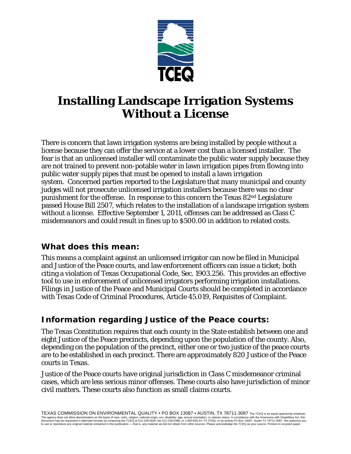

# **Installing Landscape Irrigation Systems Without a License**

There is concern that lawn irrigation systems are being installed by people without a license because they can offer the service at a lower cost than a licensed installer. The fear is that an unlicensed installer will contaminate the public water supply because they are not trained to prevent non-potable water in lawn irrigation pipes from flowing into public water supply pipes that must be opened to install a lawn irrigation system. Concerned parties reported to the Legislature that many municipal and county judges will not prosecute unlicensed irrigation installers because there was no clear punishment for the offense. In response to this concern the Texas 82nd Legislature passed House Bill 2507, which relates to the installation of a landscape irrigation system without a license. Effective September 1, 2011, offenses can be addressed as Class C misdemeanors and could result in fines up to \$500.00 in addition to related costs.

### **What does this mean:**

This means a complaint against an unlicensed irrigator can now be filed in Municipal and Justice of the Peace courts, and law enforcement officers can issue a ticket; both citing a violation of Texas Occupational Code, Sec. 1903.256. This provides an effective tool to use in enforcement of unlicensed irrigators performing irrigation installations. Filings in Justice of the Peace and Municipal Courts should be completed in accordance with Texas Code of Criminal Procedures, Article 45.019, Requisites of Complaint.

### **Information regarding Justice of the Peace courts:**

The Texas Constitution requires that each county in the State establish between one and eight Justice of the Peace precincts, depending upon the population of the county. Also, depending on the population of the precinct, either one or two justice of the peace courts are to be established in each precinct. There are approximately 820 Justice of the Peace courts in Texas.

Justice of the Peace courts have original jurisdiction in Class C misdemeanor criminal cases, which are less serious minor offenses. These courts also have jurisdiction of minor civil matters. These courts also function as small claims courts.